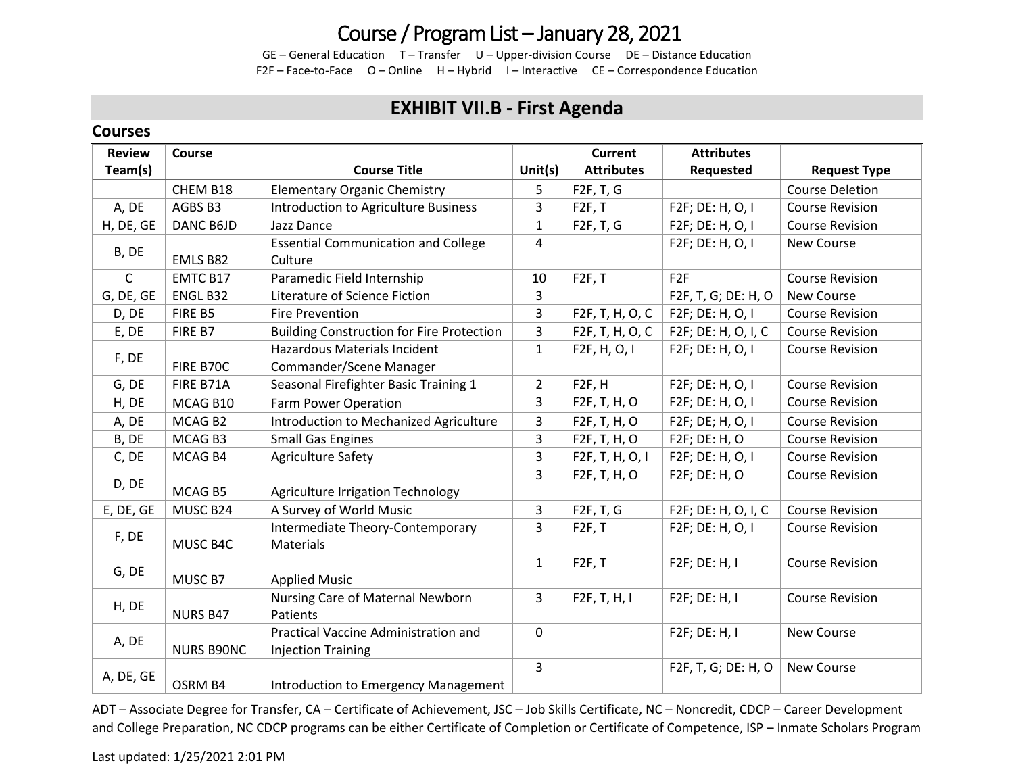# Course / Program List – January 28, 2021

GE – General Education T – Transfer U – Upper-division Course DE – Distance Education F2F – Face-to-Face O – Online H – Hybrid I – Interactive CE – Correspondence Education

### **EXHIBIT VII.B - First Agenda**

### **Courses**

| <b>Review</b> | Course            |                                                                   |                | <b>Current</b>      | <b>Attributes</b>   |                        |
|---------------|-------------------|-------------------------------------------------------------------|----------------|---------------------|---------------------|------------------------|
| Team(s)       |                   | <b>Course Title</b>                                               | Unit $(s)$     | <b>Attributes</b>   | Requested           | <b>Request Type</b>    |
|               | CHEM B18          | <b>Elementary Organic Chemistry</b>                               | 5              | F2F, T, G           |                     | <b>Course Deletion</b> |
| A, DE         | AGBS B3           | Introduction to Agriculture Business                              | 3              | F2F, T              | F2F; DE: H, O, I    | <b>Course Revision</b> |
| H, DE, GE     | DANC B6JD         | Jazz Dance                                                        | $\mathbf{1}$   | F2F, T, G           | F2F; DE: H, O, I    | <b>Course Revision</b> |
| B, DE         | EMLS B82          | <b>Essential Communication and College</b><br>Culture             | 4              |                     | F2F; DE: H, O, I    | <b>New Course</b>      |
| $\mathsf{C}$  | <b>EMTC B17</b>   | Paramedic Field Internship                                        | 10             | F2F, T              | F <sub>2F</sub>     | <b>Course Revision</b> |
| G, DE, GE     | ENGL B32          | Literature of Science Fiction                                     | 3              |                     | F2F, T, G; DE: H, O | New Course             |
| D, DE         | FIRE B5           | Fire Prevention                                                   | 3              | F2F, T, H, O, C     | F2F; DE: H, O, I    | <b>Course Revision</b> |
| E, DE         | FIRE B7           | <b>Building Construction for Fire Protection</b>                  | $\overline{3}$ | F2F, T, H, O, C     | F2F; DE: H, O, I, C | <b>Course Revision</b> |
|               |                   | <b>Hazardous Materials Incident</b>                               | $\mathbf{1}$   | F2F, H, O, I        | F2F; DE: H, O, I    | <b>Course Revision</b> |
| F, DE         | FIRE B70C         | Commander/Scene Manager                                           |                |                     |                     |                        |
| G, DE         | FIRE B71A         | Seasonal Firefighter Basic Training 1                             | $\overline{2}$ | F <sub>2F</sub> , H | F2F; DE: H, O, I    | <b>Course Revision</b> |
| H, DE         | MCAG B10          | Farm Power Operation                                              | $\overline{3}$ | F2F, T, H, O        | F2F; DE: H, O, I    | <b>Course Revision</b> |
| A, DE         | MCAG B2           | Introduction to Mechanized Agriculture                            | 3              | F2F, T, H, O        | F2F; DE; H, O, I    | <b>Course Revision</b> |
| B, DE         | MCAG B3           | <b>Small Gas Engines</b>                                          | $\overline{3}$ | F2F, T, H, O        | F2F; DE: H, O       | <b>Course Revision</b> |
| C, DE         | MCAG B4           | <b>Agriculture Safety</b>                                         | 3              | F2F, T, H, O, I     | F2F; DE: H, O, I    | <b>Course Revision</b> |
| D, DE         | MCAG B5           | Agriculture Irrigation Technology                                 | 3              | F2F, T, H, O        | F2F; DE: H, O       | <b>Course Revision</b> |
| E, DE, GE     | MUSC B24          | A Survey of World Music                                           | 3              | F2F, T, G           | F2F; DE: H, O, I, C | <b>Course Revision</b> |
| F, DE         | MUSC B4C          | Intermediate Theory-Contemporary<br>Materials                     | 3              | F2F, T              | F2F; DE: H, O, I    | <b>Course Revision</b> |
| G, DE         | MUSC B7           | <b>Applied Music</b>                                              | $\mathbf{1}$   | F2F, T              | F2F; DE: H, I       | <b>Course Revision</b> |
| H, DE         | <b>NURS B47</b>   | Nursing Care of Maternal Newborn<br>Patients                      | $\overline{3}$ | F2F, T, H, I        | F2F; DE: H, I       | <b>Course Revision</b> |
| A, DE         | <b>NURS B90NC</b> | Practical Vaccine Administration and<br><b>Injection Training</b> | $\mathbf 0$    |                     | F2F; DE: H, I       | New Course             |
| A, DE, GE     | OSRM B4           | Introduction to Emergency Management                              | $\overline{3}$ |                     | F2F, T, G; DE: H, O | New Course             |

ADT – Associate Degree for Transfer, CA – Certificate of Achievement, JSC – Job Skills Certificate, NC – Noncredit, CDCP – Career Development and College Preparation, NC CDCP programs can be either Certificate of Completion or Certificate of Competence, ISP – Inmate Scholars Program